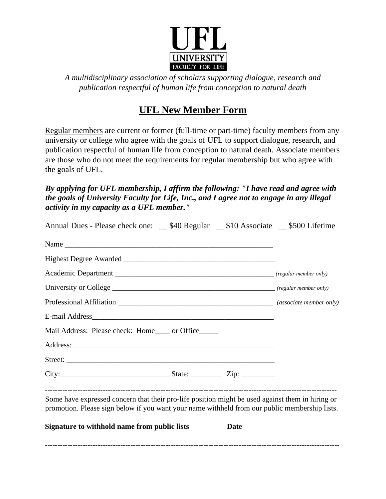

*A multidisciplinary association of scholars supporting dialogue, research and publication respectful of human life from conception to natural death*

## **UFL New Member Form**

Regular members are current or former (full-time or part-time) faculty members from any university or college who agree with the goals of UFL to support dialogue, research, and publication respectful of human life from conception to natural death. Associate members are those who do not meet the requirements for regular membership but who agree with the goals of UFL.

*By applying for UFL membership, I affirm the following: "I have read and agree with the goals of University Faculty for Life, Inc., and I agree not to engage in any illegal activity in my capacity as a UFL member."* 

| Annual Dues - Please check one: __\$40 Regular __\$10 Associate __\$500 Lifetime                                                                                                                  |             |  |
|---------------------------------------------------------------------------------------------------------------------------------------------------------------------------------------------------|-------------|--|
|                                                                                                                                                                                                   |             |  |
|                                                                                                                                                                                                   |             |  |
|                                                                                                                                                                                                   |             |  |
|                                                                                                                                                                                                   |             |  |
|                                                                                                                                                                                                   |             |  |
|                                                                                                                                                                                                   |             |  |
| Mail Address: Please check: Home____ or Office_____                                                                                                                                               |             |  |
|                                                                                                                                                                                                   |             |  |
|                                                                                                                                                                                                   |             |  |
|                                                                                                                                                                                                   |             |  |
| Some have expressed concern that their pro-life position might be used against them in hiring or<br>promotion. Please sign below if you want your name withheld from our public membership lists. |             |  |
| Signature to withhold name from public lists                                                                                                                                                      | <b>Date</b> |  |
|                                                                                                                                                                                                   |             |  |
|                                                                                                                                                                                                   |             |  |